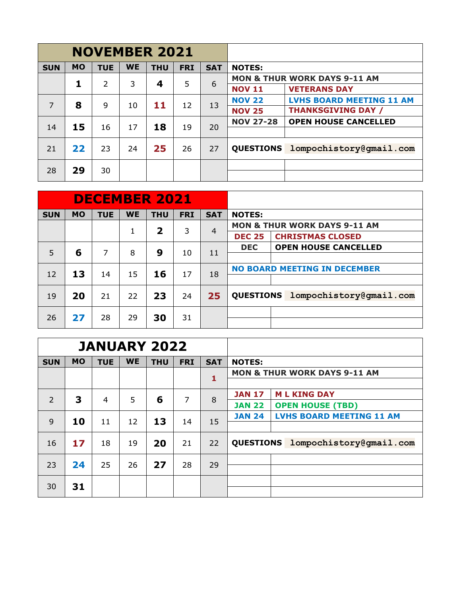|            |           | <b>NOVEMBER 2021</b> |           |            |            |            |                  |                                         |  |  |  |
|------------|-----------|----------------------|-----------|------------|------------|------------|------------------|-----------------------------------------|--|--|--|
| <b>SUN</b> | <b>MO</b> | <b>TUE</b>           | <b>WE</b> | <b>THU</b> | <b>FRI</b> | <b>SAT</b> | <b>NOTES:</b>    |                                         |  |  |  |
|            | 1         | $\overline{2}$       | 3         |            | 5          | 6          |                  | <b>MON &amp; THUR WORK DAYS 9-11 AM</b> |  |  |  |
|            |           |                      |           | 4          |            |            | <b>NOV 11</b>    | <b>VETERANS DAY</b>                     |  |  |  |
| 7          | 8         | 9                    | 10        | 11         | 12         | 13         | <b>NOV 22</b>    | <b>LVHS BOARD MEETING 11 AM</b>         |  |  |  |
|            |           |                      |           |            |            |            | <b>NOV 25</b>    | <b>THANKSGIVING DAY /</b>               |  |  |  |
| 14         | 15        | 16                   | 17        | 18         | 19         | 20         | <b>NOV 27-28</b> | <b>OPEN HOUSE CANCELLED</b>             |  |  |  |
|            |           |                      |           |            |            |            |                  |                                         |  |  |  |
| 21         | 22        | 23                   | 24        | 25         | 26         | 27         | <b>QUESTIONS</b> | lompochistory@gmail.com                 |  |  |  |
| 28         | 29        | 30                   |           |            |            |            |                  |                                         |  |  |  |

|            |           | <b>DECEMBER 2021</b> |           |                         |            |            |                  |                                         |  |  |  |
|------------|-----------|----------------------|-----------|-------------------------|------------|------------|------------------|-----------------------------------------|--|--|--|
| <b>SUN</b> | <b>MO</b> | <b>TUE</b>           | <b>WE</b> | <b>THU</b>              | <b>FRI</b> | <b>SAT</b> | <b>NOTES:</b>    |                                         |  |  |  |
|            |           |                      | 1         | $\overline{\mathbf{2}}$ | 3          | 4          |                  | <b>MON &amp; THUR WORK DAYS 9-11 AM</b> |  |  |  |
|            |           |                      |           |                         |            |            | <b>DEC 25</b>    | <b>CHRISTMAS CLOSED</b>                 |  |  |  |
| 5          | 6         | 7                    | 8         | 9                       | 10         | 11         | <b>DEC</b>       | <b>OPEN HOUSE CANCELLED</b>             |  |  |  |
|            |           |                      |           |                         |            |            |                  |                                         |  |  |  |
| 12         | 13        | 14                   | 15        | 16                      | 17         | 18         |                  | <b>NO BOARD MEETING IN DECEMBER</b>     |  |  |  |
|            |           |                      |           |                         |            |            |                  |                                         |  |  |  |
| 19         | 20        | 21                   | 22        | 23                      | 24         | 25         | <b>QUESTIONS</b> | lompochistory@gmail.com                 |  |  |  |
| 26         | 27        | 28                   | 29        | 30                      | 31         |            |                  |                                         |  |  |  |

|            |           | <b>JANUARY 2022</b> |           |            |            |            |                  |                                         |
|------------|-----------|---------------------|-----------|------------|------------|------------|------------------|-----------------------------------------|
| <b>SUN</b> | <b>MO</b> | <b>TUE</b>          | <b>WE</b> | <b>THU</b> | <b>FRI</b> | <b>SAT</b> | <b>NOTES:</b>    |                                         |
|            |           |                     |           |            |            | 1          |                  | <b>MON &amp; THUR WORK DAYS 9-11 AM</b> |
|            |           |                     |           |            |            |            |                  |                                         |
| 2          | 3         | $\overline{4}$      | 5         | 6          | 7          | 8          | <b>JAN 17</b>    | <b>ML KING DAY</b>                      |
|            |           |                     |           |            |            |            | <b>JAN 22</b>    | <b>OPEN HOUSE (TBD)</b>                 |
| 9          | 10        | 11                  | 12        | 13         | 14         | 15         | <b>JAN 24</b>    | <b>LVHS BOARD MEETING 11 AM</b>         |
|            |           |                     |           |            |            |            |                  |                                         |
| 16         | 17        | 18                  | 19        | 20         | 21         | 22         | <b>QUESTIONS</b> | lompochistory@qmail.com                 |
| 23         | 24        | 25                  | 26        | 27         | 28         | 29         |                  |                                         |
|            |           |                     |           |            |            |            |                  |                                         |
| 30         | 31        |                     |           |            |            |            |                  |                                         |
|            |           |                     |           |            |            |            |                  |                                         |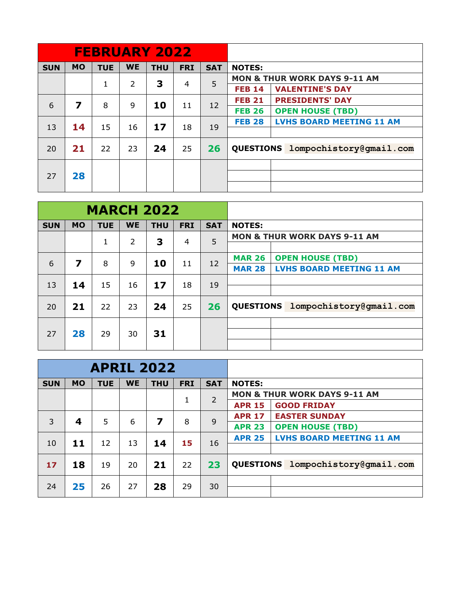|            |           |            |                | <b>FEBRUARY 2022</b> |            |            |               |                                         |  |  |  |
|------------|-----------|------------|----------------|----------------------|------------|------------|---------------|-----------------------------------------|--|--|--|
| <b>SUN</b> | <b>MO</b> | <b>TUE</b> | <b>WE</b>      | <b>THU</b>           | <b>FRI</b> | <b>SAT</b> | <b>NOTES:</b> |                                         |  |  |  |
|            |           | 1          | $\overline{2}$ | 3                    | 4          | 5          |               | <b>MON &amp; THUR WORK DAYS 9-11 AM</b> |  |  |  |
|            |           |            |                |                      |            |            | <b>FEB 14</b> | <b>VALENTINE'S DAY</b>                  |  |  |  |
| 6          | 7         | 8          | 9              | 10                   | 11         |            | <b>FEB 21</b> | <b>PRESIDENTS' DAY</b>                  |  |  |  |
|            |           |            |                |                      |            | 12         | <b>FEB 26</b> | <b>OPEN HOUSE (TBD)</b>                 |  |  |  |
| 13         | 14        | 15         | 16             | 17                   | 18         | 19         | <b>FEB 28</b> | <b>LVHS BOARD MEETING 11 AM</b>         |  |  |  |
|            |           |            |                |                      |            |            |               |                                         |  |  |  |
| 20         | 21        | 22         | 23             | 24                   | 25         | 26         |               | QUESTIONS lompochistory@gmail.com       |  |  |  |
|            |           |            |                |                      |            |            |               |                                         |  |  |  |
| 27         | 28        |            |                |                      |            |            |               |                                         |  |  |  |
|            |           |            |                |                      |            |            |               |                                         |  |  |  |

|            |           | <b>MARCH 2022</b> |                |            |                |            |                                                  |
|------------|-----------|-------------------|----------------|------------|----------------|------------|--------------------------------------------------|
| <b>SUN</b> | <b>MO</b> | <b>TUE</b>        | <b>WE</b>      | <b>THU</b> | <b>FRI</b>     | <b>SAT</b> | <b>NOTES:</b>                                    |
|            |           | 1                 | $\overline{2}$ | 3          | $\overline{4}$ | 5          | <b>MON &amp; THUR WORK DAYS 9-11 AM</b>          |
|            |           |                   |                |            |                |            |                                                  |
| 6          | 7         | 8                 | 9              | 10         | 11             | 12         | <b>OPEN HOUSE (TBD)</b><br><b>MAR 26</b>         |
|            |           |                   |                |            |                |            | <b>LVHS BOARD MEETING 11 AM</b><br><b>MAR 28</b> |
| 13         | 14        | 15                | 16             | 17         | 18             | 19         |                                                  |
|            |           |                   |                |            |                |            |                                                  |
| 20         | 21        | 22                | 23             | 24         | 25             | 26         | <b>QUESTIONS</b><br>lompochistory@gmail.com      |
|            |           |                   |                |            |                |            |                                                  |
| 27         | 28        | 29                | 30             | 31         |                |            |                                                  |
|            |           |                   |                |            |                |            |                                                  |

|            |           | <b>APRIL 2022</b> |           |            |            |                |                                                  |  |  |  |  |
|------------|-----------|-------------------|-----------|------------|------------|----------------|--------------------------------------------------|--|--|--|--|
| <b>SUN</b> | <b>MO</b> | <b>TUE</b>        | <b>WE</b> | <b>THU</b> | <b>FRI</b> | <b>SAT</b>     | <b>NOTES:</b>                                    |  |  |  |  |
|            |           |                   |           |            | 1          | $\overline{2}$ | <b>MON &amp; THUR WORK DAYS 9-11 AM</b>          |  |  |  |  |
|            |           |                   |           |            |            |                | <b>GOOD FRIDAY</b><br><b>APR 15</b>              |  |  |  |  |
| 3          |           | 5                 | 6         | 7          | 8          | 9              | <b>EASTER SUNDAY</b><br><b>APR 17</b>            |  |  |  |  |
|            | 4         |                   |           |            |            |                | <b>APR 23</b><br><b>OPEN HOUSE (TBD)</b>         |  |  |  |  |
| 10         | 11        | 12                | 13        | 14         | 15         | 16             | <b>LVHS BOARD MEETING 11 AM</b><br><b>APR 25</b> |  |  |  |  |
|            |           |                   |           |            |            |                |                                                  |  |  |  |  |
| 17         | 18        | 19                | 20        | 21         | 22         | 23             | QUESTIONS lompochistory@gmail.com                |  |  |  |  |
| 24         | 25        | 26                | 27        | 28         | 29         | 30             |                                                  |  |  |  |  |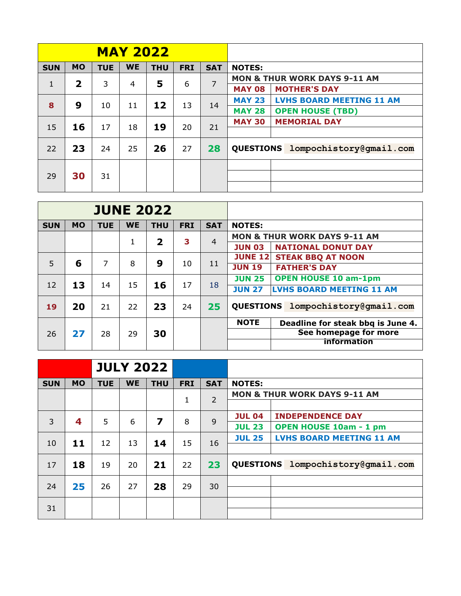|              |                         |            | <b>MAY 2022</b> |            |            |            |                                                  |
|--------------|-------------------------|------------|-----------------|------------|------------|------------|--------------------------------------------------|
| <b>SUN</b>   | <b>MO</b>               | <b>TUE</b> | <b>WE</b>       | <b>THU</b> | <b>FRI</b> | <b>SAT</b> | <b>NOTES:</b>                                    |
| $\mathbf{1}$ | $\overline{\mathbf{2}}$ | 3          | 4               | 5          | 6          | 7          | <b>MON &amp; THUR WORK DAYS 9-11 AM</b>          |
|              |                         |            |                 |            |            |            | <b>MAY 08</b><br><b>MOTHER'S DAY</b>             |
| 8            | 9                       | 10         | 11              | 12         | 13         |            | <b>LVHS BOARD MEETING 11 AM</b><br><b>MAY 23</b> |
|              |                         |            |                 |            |            | 14         | <b>MAY 28</b><br><b>OPEN HOUSE (TBD)</b>         |
| 15           | 16                      | 17         | 18              | 19         | 20         | 21         | <b>MEMORIAL DAY</b><br><b>MAY 30</b>             |
|              |                         |            |                 |            |            |            |                                                  |
| 22           | 23                      | 24         | 25              | 26         | 27         | 28         | QUESTIONS lompochistory@gmail.com                |
|              |                         |            |                 |            |            |            |                                                  |
| 29           | 30                      | 31         |                 |            |            |            |                                                  |
|              |                         |            |                 |            |            |            |                                                  |

|            |           |            |           | <b>JUNE 2022</b>        |            |                |                                                  |
|------------|-----------|------------|-----------|-------------------------|------------|----------------|--------------------------------------------------|
| <b>SUN</b> | <b>MO</b> | <b>TUE</b> | <b>WE</b> | <b>THU</b>              | <b>FRI</b> | <b>SAT</b>     | <b>NOTES:</b>                                    |
|            |           |            |           | $\overline{\mathbf{2}}$ | 3          | $\overline{4}$ | <b>MON &amp; THUR WORK DAYS 9-11 AM</b>          |
|            |           |            | 1         |                         |            |                | <b>JUN 03</b><br><b>NATIONAL DONUT DAY</b>       |
|            |           |            |           |                         |            |                | <b>JUNE 12</b><br><b>STEAK BBQ AT NOON</b>       |
| 5          | 6         | 7          | 8         | 9                       | 10         | 11             | <b>JUN 19</b><br><b>FATHER'S DAY</b>             |
|            |           |            |           |                         |            |                | <b>OPEN HOUSE 10 am-1pm</b><br><b>JUN 25</b>     |
| 12         | 13        | 14         | 15        | 16                      | 17         | 18             | <b>LVHS BOARD MEETING 11 AM</b><br><b>JUN 27</b> |
| 19         | 20        | 21         | 22        | 23                      | 24         | 25             | QUESTIONS lompochistory@gmail.com                |
|            |           |            |           |                         |            |                | <b>NOTE</b><br>Deadline for steak bbg is June 4. |
| 26         | 27        | 28         | 29        | 30                      |            |                | See homepage for more                            |
|            |           |            |           |                         |            |                | <b>information</b>                               |

|            |           |            | <b>JULY 2022</b> |                         |            |                |               |                                         |
|------------|-----------|------------|------------------|-------------------------|------------|----------------|---------------|-----------------------------------------|
| <b>SUN</b> | <b>MO</b> | <b>TUE</b> | <b>WE</b>        | <b>THU</b>              | <b>FRI</b> | <b>SAT</b>     | <b>NOTES:</b> |                                         |
|            |           |            |                  |                         | 1          | $\overline{2}$ |               | <b>MON &amp; THUR WORK DAYS 9-11 AM</b> |
|            |           |            |                  |                         |            |                |               |                                         |
| 3          | 4         | 5          | 6                | $\overline{\mathbf{z}}$ | 8          | 9              | <b>JUL 04</b> | <b>INDEPENDENCE DAY</b>                 |
|            |           |            |                  |                         |            |                | <b>JUL 23</b> | <b>OPEN HOUSE 10am - 1 pm</b>           |
| 10         | 11        | 12         | 13               | 14                      | 15         | 16             | <b>JUL 25</b> | <b>LVHS BOARD MEETING 11 AM</b>         |
|            |           |            |                  |                         |            |                |               |                                         |
| 17         | 18        | 19         | 20               | 21                      | 22         | 23             |               | QUESTIONS lompochistory@gmail.com       |
| 24         | 25        | 26         | 27               | 28                      | 29         | 30             |               |                                         |
|            |           |            |                  |                         |            |                |               |                                         |
| 31         |           |            |                  |                         |            |                |               |                                         |
|            |           |            |                  |                         |            |                |               |                                         |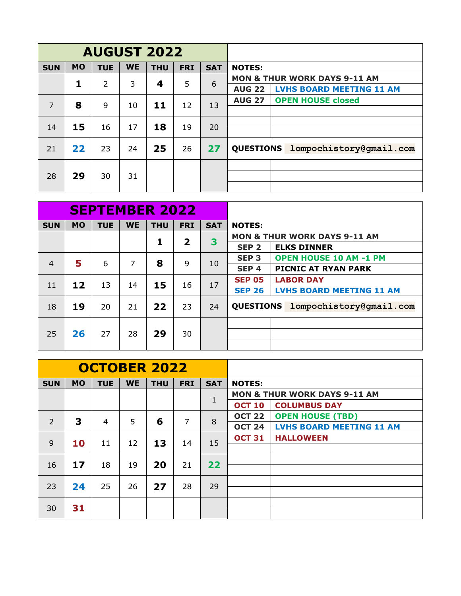|            |           | <b>AUGUST 2022</b> |           |            |            |            |                  |  |                                         |  |  |
|------------|-----------|--------------------|-----------|------------|------------|------------|------------------|--|-----------------------------------------|--|--|
| <b>SUN</b> | <b>MO</b> | <b>TUE</b>         | <b>WE</b> | <b>THU</b> | <b>FRI</b> | <b>SAT</b> | <b>NOTES:</b>    |  |                                         |  |  |
|            | 1         | $\overline{2}$     | 3         | 4          | 5          | 6          |                  |  | <b>MON &amp; THUR WORK DAYS 9-11 AM</b> |  |  |
|            |           |                    |           |            |            |            | <b>AUG 22</b>    |  | <b>LVHS BOARD MEETING 11 AM</b>         |  |  |
| 7          | 8         | 9                  | 10        | 11         | 12         | 13         | <b>AUG 27</b>    |  | <b>OPEN HOUSE closed</b>                |  |  |
|            |           |                    |           |            |            |            |                  |  |                                         |  |  |
| 14         | 15        | 16                 | 17        | 18         | 19         | 20         |                  |  |                                         |  |  |
|            |           |                    |           |            |            |            |                  |  |                                         |  |  |
| 21         | 22        | 23                 | 24        | 25         | 26         | 27         | <b>QUESTIONS</b> |  | lompochistory@gmail.com                 |  |  |
|            |           |                    |           |            |            |            |                  |  |                                         |  |  |
| 28         | 29        | 30                 | 31        |            |            |            |                  |  |                                         |  |  |
|            |           |                    |           |            |            |            |                  |  |                                         |  |  |

|                |           |            |           | <b>SEPTEMBER 2022</b> |                         |            |                  |                                         |
|----------------|-----------|------------|-----------|-----------------------|-------------------------|------------|------------------|-----------------------------------------|
| <b>SUN</b>     | <b>MO</b> | <b>TUE</b> | <b>WE</b> | <b>THU</b>            | <b>FRI</b>              | <b>SAT</b> | <b>NOTES:</b>    |                                         |
|                |           |            |           | 1                     | $\overline{\mathbf{2}}$ | 3          |                  | <b>MON &amp; THUR WORK DAYS 9-11 AM</b> |
|                |           |            |           |                       |                         |            | SEP <sub>2</sub> | <b>ELKS DINNER</b>                      |
| $\overline{4}$ | 5         | 6          | 7         | 8                     | 9                       | 10         | SEP <sub>3</sub> | <b>OPEN HOUSE 10 AM -1 PM</b>           |
|                |           |            |           |                       |                         |            | SEP <sub>4</sub> | PICNIC AT RYAN PARK                     |
| 11             | 12        | 13         | 14        | 15                    | 16                      | 17         | <b>SEP 05</b>    | <b>LABOR DAY</b>                        |
|                |           |            |           |                       |                         |            | <b>SEP 26</b>    | <b>LVHS BOARD MEETING 11 AM</b>         |
| 18             | 19        | 20         | 21        | 22                    | 23                      | 24         | <b>QUESTIONS</b> | lompochistory@gmail.com                 |
|                |           |            |           |                       |                         |            |                  |                                         |
| 25             | 26        | 27         | 28        | 29                    | 30                      |            |                  |                                         |
|                |           |            |           |                       |                         |            |                  |                                         |

|                |           | <b>OCTOBER 2022</b> |           |            |                |            |               |                                         |  |  |  |
|----------------|-----------|---------------------|-----------|------------|----------------|------------|---------------|-----------------------------------------|--|--|--|
| <b>SUN</b>     | <b>MO</b> | <b>TUE</b>          | <b>WE</b> | <b>THU</b> | <b>FRI</b>     | <b>SAT</b> | <b>NOTES:</b> |                                         |  |  |  |
|                |           |                     |           |            |                |            |               | <b>MON &amp; THUR WORK DAYS 9-11 AM</b> |  |  |  |
|                |           |                     |           |            |                | 1          | <b>OCT 10</b> | <b>COLUMBUS DAY</b>                     |  |  |  |
| $\overline{2}$ | 3         | 4                   | 5         | 6          | $\overline{7}$ | 8          | <b>OCT 22</b> | <b>OPEN HOUSE (TBD)</b>                 |  |  |  |
|                |           |                     |           |            |                |            | <b>OCT 24</b> | <b>LVHS BOARD MEETING 11 AM</b>         |  |  |  |
| 9              | 10        | 11                  | 12        | 13         | 14             | 15         | <b>OCT 31</b> | <b>HALLOWEEN</b>                        |  |  |  |
|                |           |                     |           |            |                |            |               |                                         |  |  |  |
| 16             | 17        | 18                  | 19        | 20         | 21             | 22         |               |                                         |  |  |  |
|                |           |                     |           |            |                |            |               |                                         |  |  |  |
| 23             | 24        | 25                  | 26        | 27         | 28             | 29         |               |                                         |  |  |  |
|                |           |                     |           |            |                |            |               |                                         |  |  |  |
| 30             | 31        |                     |           |            |                |            |               |                                         |  |  |  |
|                |           |                     |           |            |                |            |               |                                         |  |  |  |